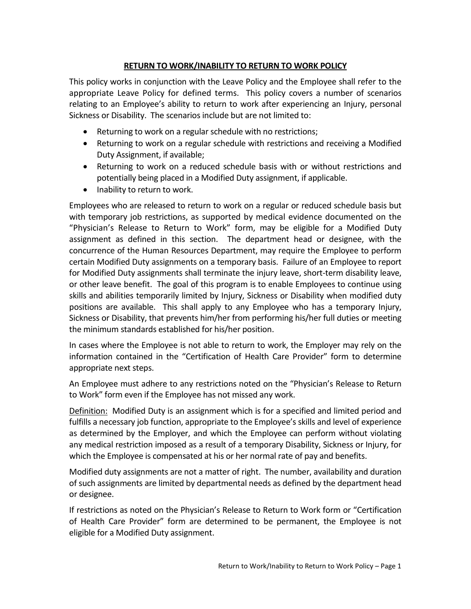## **RETURN TO WORK/INABILITY TO RETURN TO WORK POLICY**

This policy works in conjunction with the Leave Policy and the Employee shall refer to the appropriate Leave Policy for defined terms. This policy covers a number of scenarios relating to an Employee's ability to return to work after experiencing an Injury, personal Sickness or Disability. The scenarios include but are not limited to:

- Returning to work on a regular schedule with no restrictions;
- Returning to work on a regular schedule with restrictions and receiving a Modified Duty Assignment, if available;
- Returning to work on a reduced schedule basis with or without restrictions and potentially being placed in a Modified Duty assignment, if applicable.
- Inability to return to work.

Employees who are released to return to work on a regular or reduced schedule basis but with temporary job restrictions, as supported by medical evidence documented on the "Physician's Release to Return to Work" form, may be eligible for a Modified Duty assignment as defined in this section. The department head or designee, with the concurrence of the Human Resources Department, may require the Employee to perform certain Modified Duty assignments on a temporary basis. Failure of an Employee to report for Modified Duty assignments shall terminate the injury leave, short-term disability leave, or other leave benefit. The goal of this program is to enable Employees to continue using skills and abilities temporarily limited by Injury, Sickness or Disability when modified duty positions are available. This shall apply to any Employee who has a temporary Injury, Sickness or Disability, that prevents him/her from performing his/her full duties or meeting the minimum standards established for his/her position.

In cases where the Employee is not able to return to work, the Employer may rely on the information contained in the "Certification of Health Care Provider" form to determine appropriate next steps.

An Employee must adhere to any restrictions noted on the "Physician's Release to Return to Work" form even if the Employee has not missed any work.

Definition: Modified Duty is an assignment which is for a specified and limited period and fulfills a necessary job function, appropriate to the Employee's skills and level of experience as determined by the Employer, and which the Employee can perform without violating any medical restriction imposed as a result of a temporary Disability, Sickness or Injury, for which the Employee is compensated at his or her normal rate of pay and benefits.

Modified duty assignments are not a matter of right. The number, availability and duration of such assignments are limited by departmental needs as defined by the department head or designee.

If restrictions as noted on the Physician's Release to Return to Work form or "Certification of Health Care Provider" form are determined to be permanent, the Employee is not eligible for a Modified Duty assignment.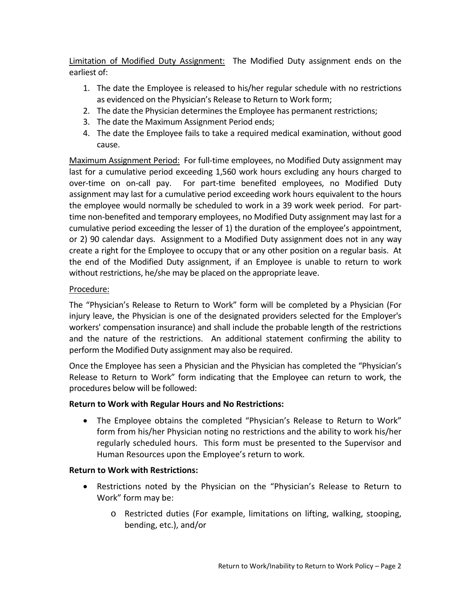Limitation of Modified Duty Assignment: The Modified Duty assignment ends on the earliest of:

- 1. The date the Employee is released to his/her regular schedule with no restrictions as evidenced on the Physician's Release to Return to Work form;
- 2. The date the Physician determines the Employee has permanent restrictions;
- 3. The date the Maximum Assignment Period ends;
- 4. The date the Employee fails to take a required medical examination, without good cause.

Maximum Assignment Period: For full-time employees, no Modified Duty assignment may last for a cumulative period exceeding 1,560 work hours excluding any hours charged to over-time on on-call pay. For part-time benefited employees, no Modified Duty assignment may last for a cumulative period exceeding work hours equivalent to the hours the employee would normally be scheduled to work in a 39 work week period. For parttime non-benefited and temporary employees, no Modified Duty assignment may last for a cumulative period exceeding the lesser of 1) the duration of the employee's appointment, or 2) 90 calendar days. Assignment to a Modified Duty assignment does not in any way create a right for the Employee to occupy that or any other position on a regular basis. At the end of the Modified Duty assignment, if an Employee is unable to return to work without restrictions, he/she may be placed on the appropriate leave.

## Procedure:

The "Physician's Release to Return to Work" form will be completed by a Physician (For injury leave, the Physician is one of the designated providers selected for the Employer's workers' compensation insurance) and shall include the probable length of the restrictions and the nature of the restrictions. An additional statement confirming the ability to perform the Modified Duty assignment may also be required.

Once the Employee has seen a Physician and the Physician has completed the "Physician's Release to Return to Work" form indicating that the Employee can return to work, the procedures below will be followed:

# **Return to Work with Regular Hours and No Restrictions:**

• The Employee obtains the completed "Physician's Release to Return to Work" form from his/her Physician noting no restrictions and the ability to work his/her regularly scheduled hours. This form must be presented to the Supervisor and Human Resources upon the Employee's return to work.

## **Return to Work with Restrictions:**

- Restrictions noted by the Physician on the "Physician's Release to Return to Work" form may be:
	- o Restricted duties (For example, limitations on lifting, walking, stooping, bending, etc.), and/or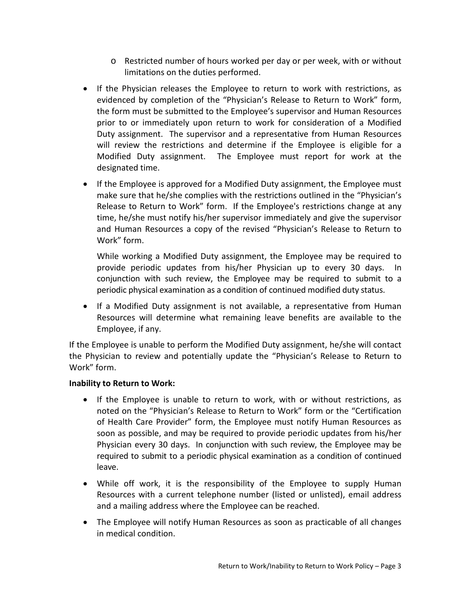- o Restricted number of hours worked per day or per week, with or without limitations on the duties performed.
- If the Physician releases the Employee to return to work with restrictions, as evidenced by completion of the "Physician's Release to Return to Work" form, the form must be submitted to the Employee's supervisor and Human Resources prior to or immediately upon return to work for consideration of a Modified Duty assignment. The supervisor and a representative from Human Resources will review the restrictions and determine if the Employee is eligible for a Modified Duty assignment. The Employee must report for work at the designated time.
- If the Employee is approved for a Modified Duty assignment, the Employee must make sure that he/she complies with the restrictions outlined in the "Physician's Release to Return to Work" form. If the Employee's restrictions change at any time, he/she must notify his/her supervisor immediately and give the supervisor and Human Resources a copy of the revised "Physician's Release to Return to Work" form.

While working a Modified Duty assignment, the Employee may be required to provide periodic updates from his/her Physician up to every 30 days. In conjunction with such review, the Employee may be required to submit to a periodic physical examination as a condition of continued modified duty status.

• If a Modified Duty assignment is not available, a representative from Human Resources will determine what remaining leave benefits are available to the Employee, if any.

If the Employee is unable to perform the Modified Duty assignment, he/she will contact the Physician to review and potentially update the "Physician's Release to Return to Work" form.

## **Inability to Return to Work:**

- If the Employee is unable to return to work, with or without restrictions, as noted on the "Physician's Release to Return to Work" form or the "Certification of Health Care Provider" form, the Employee must notify Human Resources as soon as possible, and may be required to provide periodic updates from his/her Physician every 30 days. In conjunction with such review, the Employee may be required to submit to a periodic physical examination as a condition of continued leave.
- While off work, it is the responsibility of the Employee to supply Human Resources with a current telephone number (listed or unlisted), email address and a mailing address where the Employee can be reached.
- The Employee will notify Human Resources as soon as practicable of all changes in medical condition.